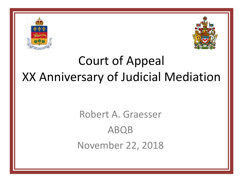



#### Court of Appeal XX Anniversary of Judicial Mediation

#### Robert A. Graesser ABQB November 22, 2018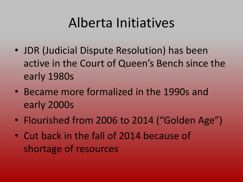### Alberta Initiatives

- JDR (Judicial Dispute Resolution) has been active in the Court of Queen's Bench since the early 1980s
- Became more formalized in the 1990s and early 2000s
- Flourished from 2006 to 2014 ("Golden Age")
- Cut back in the fall of 2014 because of shortage of resources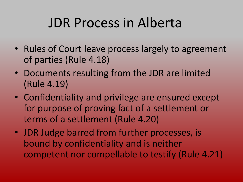### JDR Process in Alberta

- Rules of Court leave process largely to agreement of parties (Rule 4.18)
- Documents resulting from the JDR are limited (Rule 4.19)
- Confidentiality and privilege are ensured except for purpose of proving fact of a settlement or terms of a settlement (Rule 4.20)
- JDR Judge barred from further processes, is bound by confidentiality and is neither competent nor compellable to testify (Rule 4.21)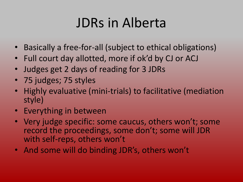### JDRs in Alberta

- Basically a free-for-all (subject to ethical obligations)
- Full court day allotted, more if ok'd by CJ or ACJ
- Judges get 2 days of reading for 3 JDRs
- 75 judges; 75 styles
- Highly evaluative (mini-trials) to facilitative (mediation style)
- Everything in between
- Very judge specific: some caucus, others won't; some record the proceedings, some don't; some will JDR with self-reps, others won't
- And some will do binding JDR's, others won't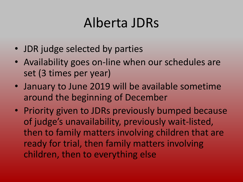#### Alberta JDRs

- JDR judge selected by parties
- Availability goes on-line when our schedules are set (3 times per year)
- January to June 2019 will be available sometime around the beginning of December
- Priority given to JDRs previously bumped because of judge's unavailability, previously wait-listed, then to family matters involving children that are ready for trial, then family matters involving children, then to everything else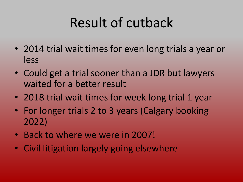## Result of cutback

- 2014 trial wait times for even long trials a year or less
- Could get a trial sooner than a JDR but lawyers waited for a better result
- 2018 trial wait times for week long trial 1 year
- For longer trials 2 to 3 years (Calgary booking 2022)
- Back to where we were in 2007!
- Civil litigation largely going elsewhere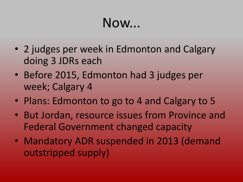#### Now...

- 2 judges per week in Edmonton and Calgary doing 3 JDRs each
- Before 2015, Edmonton had 3 judges per week; Calgary 4
- Plans: Edmonton to go to 4 and Calgary to 5
- But Jordan, resource issues from Province and Federal Government changed capacity
- Mandatory ADR suspended in 2013 (demand outstripped supply)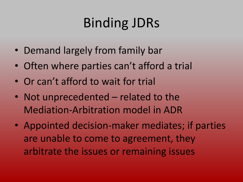- Demand largely from family bar
- Often where parties can't afford a trial
- Or can't afford to wait for trial
- Not unprecedented related to the Mediation-Arbitration model in ADR
- Appointed decision-maker mediates; if parties are unable to come to agreement, they arbitrate the issues or remaining issues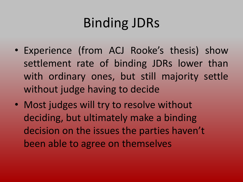- Experience (from ACJ Rooke's thesis) show settlement rate of binding JDRs lower than with ordinary ones, but still majority settle without judge having to decide
- Most judges will try to resolve without deciding, but ultimately make a binding decision on the issues the parties haven't been able to agree on themselves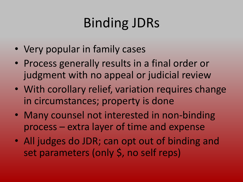- Very popular in family cases
- Process generally results in a final order or judgment with no appeal or judicial review
- With corollary relief, variation requires change in circumstances; property is done
- Many counsel not interested in non-binding process – extra layer of time and expense
- All judges do JDR; can opt out of binding and set parameters (only \$, no self reps)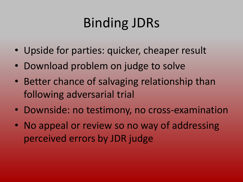- Upside for parties: quicker, cheaper result
- Download problem on judge to solve
- Better chance of salvaging relationship than following adversarial trial
- Downside: no testimony, no cross-examination
- No appeal or review so no way of addressing perceived errors by JDR judge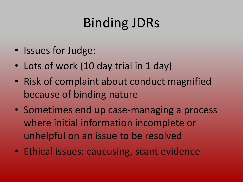- Issues for Judge:
- Lots of work (10 day trial in 1 day)
- Risk of complaint about conduct magnified because of binding nature
- Sometimes end up case-managing a process where initial information incomplete or unhelpful on an issue to be resolved
- Ethical issues: caucusing, scant evidence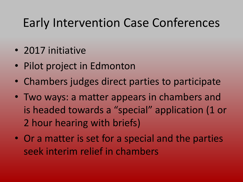#### Early Intervention Case Conferences

- 2017 initiative
- Pilot project in Edmonton
- Chambers judges direct parties to participate
- Two ways: a matter appears in chambers and is headed towards a "special" application (1 or 2 hour hearing with briefs)
- Or a matter is set for a special and the parties seek interim relief in chambers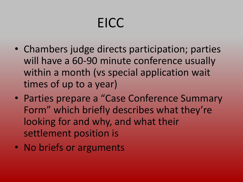# EICC

- Chambers judge directs participation; parties will have a 60-90 minute conference usually within a month (vs special application wait times of up to a year)
- Parties prepare a "Case Conference Summary Form" which briefly describes what they're looking for and why, and what their settlement position is
- No briefs or arguments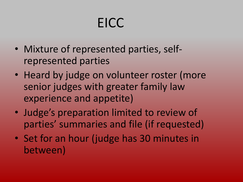# EICC

- Mixture of represented parties, selfrepresented parties
- Heard by judge on volunteer roster (more senior judges with greater family law experience and appetite)
- Judge's preparation limited to review of parties' summaries and file (if requested)
- Set for an hour (judge has 30 minutes in between)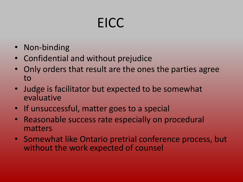# EICC

- Non-binding
- Confidential and without prejudice
- Only orders that result are the ones the parties agree to
- Judge is facilitator but expected to be somewhat evaluative
- If unsuccessful, matter goes to a special
- Reasonable success rate especially on procedural matters
- Somewhat like Ontario pretrial conference process, but without the work expected of counsel